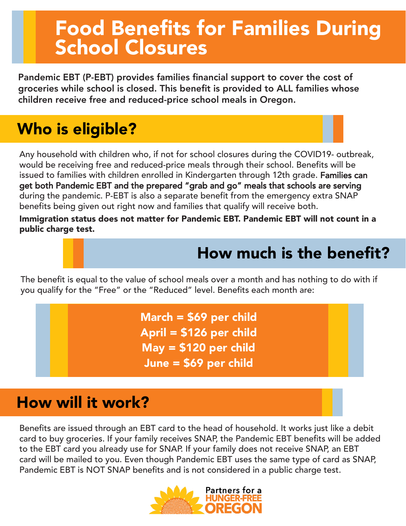# Food Benefits for Families During School Closures

Pandemic EBT (P-EBT) provides families financial support to cover the cost of groceries while school is closed. This benefit is provided to ALL families whose children receive free and reduced-price school meals in Oregon.

## Who is eligible?

Any household with children who, if not for school closures during the COVID19- outbreak, would be receiving free and reduced-price meals through their school. Benefits will be issued to families with children enrolled in Kindergarten through 12th grade. Families can get both Pandemic EBT and the prepared "grab and go" meals that schools are serving during the pandemic. P-EBT is also a separate benefit from the emergency extra SNAP benefits being given out right now and families that qualify will receive both.

Immigration status does not matter for Pandemic EBT. Pandemic EBT will not count in a public charge test.

### How much is the benefit?

The benefit is equal to the value of school meals over a month and has nothing to do with if you qualify for the "Free" or the "Reduced" level. Benefits each month are:

> March = \$69 per child April = \$126 per child May = \$120 per child June = \$69 per child

#### How will it work?

Benefits are issued through an EBT card to the head of household. It works just like a debit card to buy groceries. If your family receives SNAP, the Pandemic EBT benefits will be added to the EBT card you already use for SNAP. If your family does not receive SNAP, an EBT card will be mailed to you. Even though Pandemic EBT uses the same type of card as SNAP, Pandemic EBT is NOT SNAP benefits and is not considered in a public charge test.